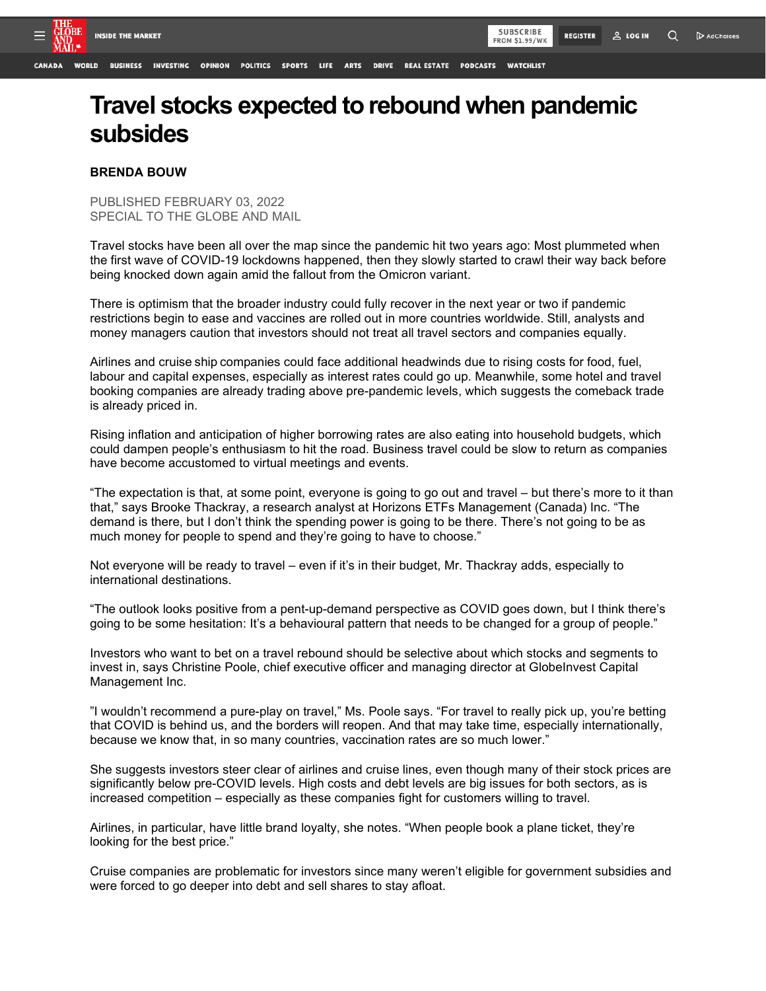**WATCHLIST** 



## **BRENDA BOUW**

PUBLISHED FEBRUARY 03, 2022 SPECIAL TO THE GLOBE AND MAIL

Travel stocks have been all over the map since the pandemic hit two years ago: Most plummeted when the first wave of COVID-19 lockdowns happened, then they slowly started to crawl their way back before being knocked down again amid the fallout from the Omicron variant.

There is optimism that the broader industry could fully recover in the next year or two if pandemic restrictions begin to ease and vaccines are rolled out in more countries worldwide. Still, analysts and money managers caution that investors should not treat all travel sectors and companies equally.

Airlines and cruise ship companies could face additional headwinds due to rising costs for food, fuel, labour and capital expenses, especially as interest rates could go up. Meanwhile, some hotel and travel booking companies are already trading above pre-pandemic levels, which suggests the comeback trade is already priced in.

Rising inflation and anticipation of higher borrowing rates are also eating into household budgets, which could dampen people's enthusiasm to hit the road. Business travel could be slow to return as companies have become accustomed to virtual meetings and events.

"The expectation is that, at some point, everyone is going to go out and travel – but there's more to it than that," says Brooke Thackray, a research analyst at Horizons ETFs Management (Canada) Inc. "The demand is there, but I don't think the spending power is going to be there. There's not going to be as much money for people to spend and they're going to have to choose."

Not everyone will be ready to travel – even if it's in their budget, Mr. Thackray adds, especially to international destinations.

"The outlook looks positive from a pent-up-demand perspective as COVID goes down, but I think there's going to be some hesitation: It's a behavioural pattern that needs to be changed for a group of people."

Investors who want to bet on a travel rebound should be selective about which stocks and segments to invest in, says Christine Poole, chief executive officer and managing director at GlobeInvest Capital Management Inc.

"I wouldn't recommend a pure-play on travel," Ms. Poole says. "For travel to really pick up, you're betting that COVID is behind us, and the borders will reopen. And that may take time, especially internationally, because we know that, in so many countries, vaccination rates are so much lower."

She suggests investors steer clear of airlines and cruise lines, even though many of their stock prices are significantly below pre-COVID levels. High costs and debt levels are big issues for both sectors, as is increased competition – especially as these companies fight for customers willing to travel.

Airlines, in particular, have little brand loyalty, she notes. "When people book a plane ticket, they're looking for the best price."

Cruise companies are problematic for investors since many weren't eligible for government subsidies and were forced to go deeper into debt and sell shares to stay afloat.